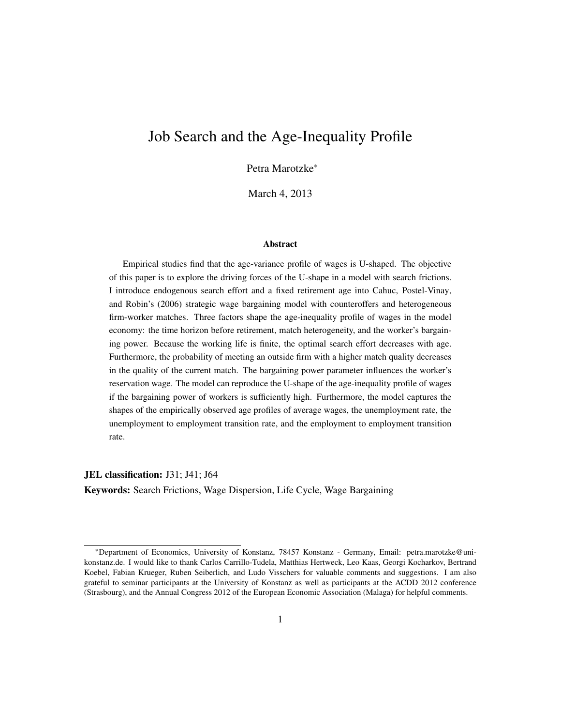## Job Search and the Age-Inequality Profile

Petra Marotzke<sup>∗</sup>

March 4, 2013

#### Abstract

Empirical studies find that the age-variance profile of wages is U-shaped. The objective of this paper is to explore the driving forces of the U-shape in a model with search frictions. I introduce endogenous search effort and a fixed retirement age into Cahuc, Postel-Vinay, and Robin's (2006) strategic wage bargaining model with counteroffers and heterogeneous firm-worker matches. Three factors shape the age-inequality profile of wages in the model economy: the time horizon before retirement, match heterogeneity, and the worker's bargaining power. Because the working life is finite, the optimal search effort decreases with age. Furthermore, the probability of meeting an outside firm with a higher match quality decreases in the quality of the current match. The bargaining power parameter influences the worker's reservation wage. The model can reproduce the U-shape of the age-inequality profile of wages if the bargaining power of workers is sufficiently high. Furthermore, the model captures the shapes of the empirically observed age profiles of average wages, the unemployment rate, the unemployment to employment transition rate, and the employment to employment transition rate.

JEL classification: J31; J41; J64 Keywords: Search Frictions, Wage Dispersion, Life Cycle, Wage Bargaining

<sup>∗</sup>Department of Economics, University of Konstanz, 78457 Konstanz - Germany, Email: petra.marotzke@unikonstanz.de. I would like to thank Carlos Carrillo-Tudela, Matthias Hertweck, Leo Kaas, Georgi Kocharkov, Bertrand Koebel, Fabian Krueger, Ruben Seiberlich, and Ludo Visschers for valuable comments and suggestions. I am also grateful to seminar participants at the University of Konstanz as well as participants at the ACDD 2012 conference (Strasbourg), and the Annual Congress 2012 of the European Economic Association (Malaga) for helpful comments.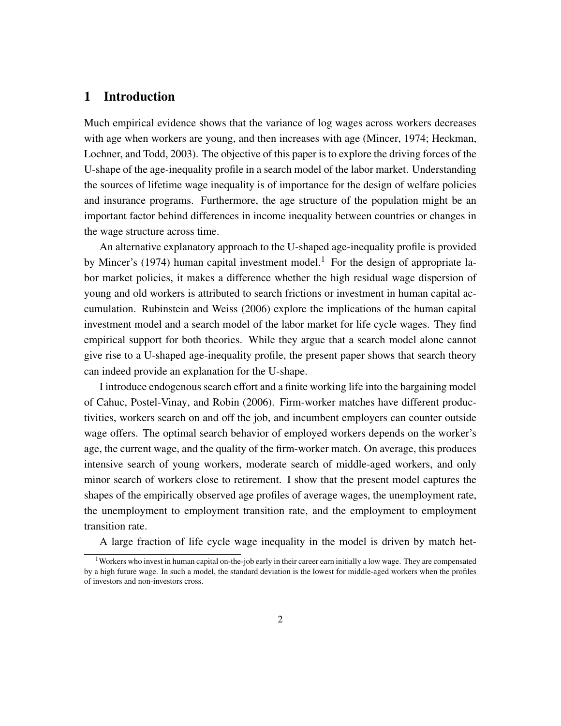## 1 Introduction

Much empirical evidence shows that the variance of log wages across workers decreases with age when workers are young, and then increases with age (Mincer, 1974; Heckman, Lochner, and Todd, 2003). The objective of this paper is to explore the driving forces of the U-shape of the age-inequality profile in a search model of the labor market. Understanding the sources of lifetime wage inequality is of importance for the design of welfare policies and insurance programs. Furthermore, the age structure of the population might be an important factor behind differences in income inequality between countries or changes in the wage structure across time.

An alternative explanatory approach to the U-shaped age-inequality profile is provided by Mincer's (1974) human capital investment model.<sup>1</sup> For the design of appropriate labor market policies, it makes a difference whether the high residual wage dispersion of young and old workers is attributed to search frictions or investment in human capital accumulation. Rubinstein and Weiss (2006) explore the implications of the human capital investment model and a search model of the labor market for life cycle wages. They find empirical support for both theories. While they argue that a search model alone cannot give rise to a U-shaped age-inequality profile, the present paper shows that search theory can indeed provide an explanation for the U-shape.

I introduce endogenous search effort and a finite working life into the bargaining model of Cahuc, Postel-Vinay, and Robin (2006). Firm-worker matches have different productivities, workers search on and off the job, and incumbent employers can counter outside wage offers. The optimal search behavior of employed workers depends on the worker's age, the current wage, and the quality of the firm-worker match. On average, this produces intensive search of young workers, moderate search of middle-aged workers, and only minor search of workers close to retirement. I show that the present model captures the shapes of the empirically observed age profiles of average wages, the unemployment rate, the unemployment to employment transition rate, and the employment to employment transition rate.

A large fraction of life cycle wage inequality in the model is driven by match het-

<sup>&</sup>lt;sup>1</sup>Workers who invest in human capital on-the-job early in their career earn initially a low wage. They are compensated by a high future wage. In such a model, the standard deviation is the lowest for middle-aged workers when the profiles of investors and non-investors cross.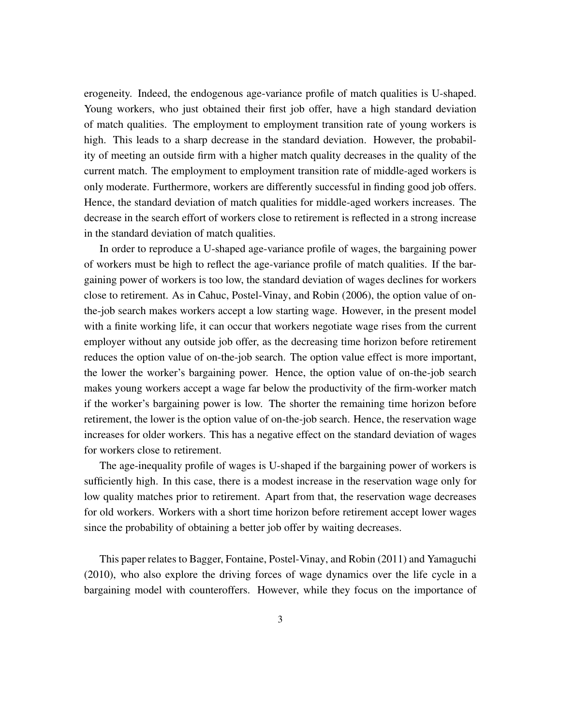erogeneity. Indeed, the endogenous age-variance profile of match qualities is U-shaped. Young workers, who just obtained their first job offer, have a high standard deviation of match qualities. The employment to employment transition rate of young workers is high. This leads to a sharp decrease in the standard deviation. However, the probability of meeting an outside firm with a higher match quality decreases in the quality of the current match. The employment to employment transition rate of middle-aged workers is only moderate. Furthermore, workers are differently successful in finding good job offers. Hence, the standard deviation of match qualities for middle-aged workers increases. The decrease in the search effort of workers close to retirement is reflected in a strong increase in the standard deviation of match qualities.

In order to reproduce a U-shaped age-variance profile of wages, the bargaining power of workers must be high to reflect the age-variance profile of match qualities. If the bargaining power of workers is too low, the standard deviation of wages declines for workers close to retirement. As in Cahuc, Postel-Vinay, and Robin (2006), the option value of onthe-job search makes workers accept a low starting wage. However, in the present model with a finite working life, it can occur that workers negotiate wage rises from the current employer without any outside job offer, as the decreasing time horizon before retirement reduces the option value of on-the-job search. The option value effect is more important, the lower the worker's bargaining power. Hence, the option value of on-the-job search makes young workers accept a wage far below the productivity of the firm-worker match if the worker's bargaining power is low. The shorter the remaining time horizon before retirement, the lower is the option value of on-the-job search. Hence, the reservation wage increases for older workers. This has a negative effect on the standard deviation of wages for workers close to retirement.

The age-inequality profile of wages is U-shaped if the bargaining power of workers is sufficiently high. In this case, there is a modest increase in the reservation wage only for low quality matches prior to retirement. Apart from that, the reservation wage decreases for old workers. Workers with a short time horizon before retirement accept lower wages since the probability of obtaining a better job offer by waiting decreases.

This paper relates to Bagger, Fontaine, Postel-Vinay, and Robin (2011) and Yamaguchi (2010), who also explore the driving forces of wage dynamics over the life cycle in a bargaining model with counteroffers. However, while they focus on the importance of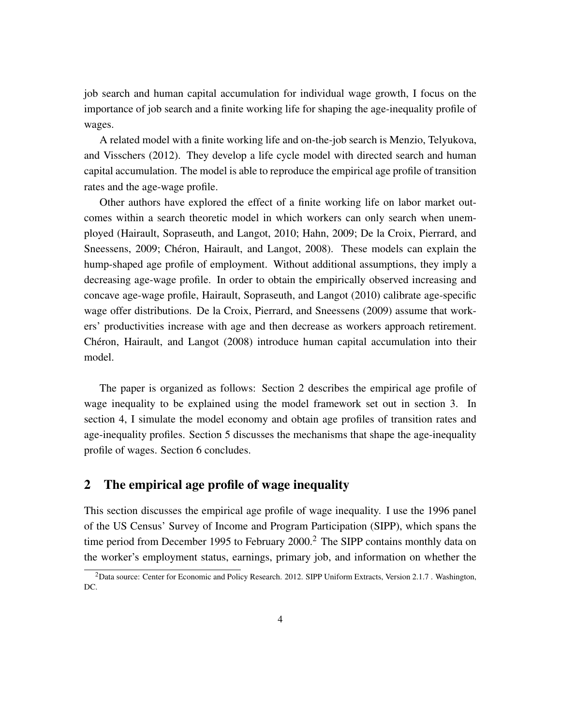job search and human capital accumulation for individual wage growth, I focus on the importance of job search and a finite working life for shaping the age-inequality profile of wages.

A related model with a finite working life and on-the-job search is Menzio, Telyukova, and Visschers (2012). They develop a life cycle model with directed search and human capital accumulation. The model is able to reproduce the empirical age profile of transition rates and the age-wage profile.

Other authors have explored the effect of a finite working life on labor market outcomes within a search theoretic model in which workers can only search when unemployed (Hairault, Sopraseuth, and Langot, 2010; Hahn, 2009; De la Croix, Pierrard, and Sneessens, 2009; Chéron, Hairault, and Langot, 2008). These models can explain the hump-shaped age profile of employment. Without additional assumptions, they imply a decreasing age-wage profile. In order to obtain the empirically observed increasing and concave age-wage profile, Hairault, Sopraseuth, and Langot (2010) calibrate age-specific wage offer distributions. De la Croix, Pierrard, and Sneessens (2009) assume that workers' productivities increase with age and then decrease as workers approach retirement. Chéron, Hairault, and Langot (2008) introduce human capital accumulation into their model.

The paper is organized as follows: Section 2 describes the empirical age profile of wage inequality to be explained using the model framework set out in section 3. In section 4, I simulate the model economy and obtain age profiles of transition rates and age-inequality profiles. Section 5 discusses the mechanisms that shape the age-inequality profile of wages. Section 6 concludes.

## 2 The empirical age profile of wage inequality

This section discusses the empirical age profile of wage inequality. I use the 1996 panel of the US Census' Survey of Income and Program Participation (SIPP), which spans the time period from December 1995 to February 2000.<sup>2</sup> The SIPP contains monthly data on the worker's employment status, earnings, primary job, and information on whether the

<sup>&</sup>lt;sup>2</sup>Data source: Center for Economic and Policy Research. 2012. SIPP Uniform Extracts, Version 2.1.7. Washington, DC.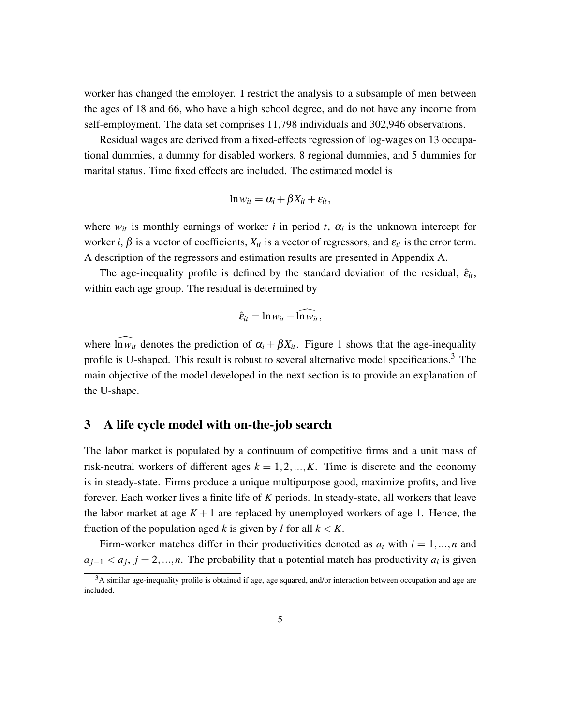worker has changed the employer. I restrict the analysis to a subsample of men between the ages of 18 and 66, who have a high school degree, and do not have any income from self-employment. The data set comprises 11,798 individuals and 302,946 observations.

Residual wages are derived from a fixed-effects regression of log-wages on 13 occupational dummies, a dummy for disabled workers, 8 regional dummies, and 5 dummies for marital status. Time fixed effects are included. The estimated model is

$$
\ln w_{it} = \alpha_i + \beta X_{it} + \varepsilon_{it},
$$

where  $w_{it}$  is monthly earnings of worker *i* in period *t*,  $\alpha_i$  is the unknown intercept for worker *i*,  $\beta$  is a vector of coefficients,  $X_{it}$  is a vector of regressors, and  $\varepsilon_{it}$  is the error term. A description of the regressors and estimation results are presented in Appendix A.

The age-inequality profile is defined by the standard deviation of the residual,  $\hat{\varepsilon}_{it}$ , within each age group. The residual is determined by

$$
\hat{\varepsilon}_{it} = \ln w_{it} - \ln \widehat{w}_{it},
$$

where  $\widehat{\ln w_{it}}$  denotes the prediction of  $\alpha_i + \beta X_{it}$ . Figure 1 shows that the age-inequality profile is U-shaped. This result is robust to several alternative model specifications.<sup>3</sup> The main objective of the model developed in the next section is to provide an explanation of the U-shape.

## 3 A life cycle model with on-the-job search

The labor market is populated by a continuum of competitive firms and a unit mass of risk-neutral workers of different ages  $k = 1, 2, ..., K$ . Time is discrete and the economy is in steady-state. Firms produce a unique multipurpose good, maximize profits, and live forever. Each worker lives a finite life of *K* periods. In steady-state, all workers that leave the labor market at age  $K + 1$  are replaced by unemployed workers of age 1. Hence, the fraction of the population aged *k* is given by *l* for all  $k < K$ .

Firm-worker matches differ in their productivities denoted as  $a_i$  with  $i = 1, ..., n$  and  $a_{j-1} < a_j$ ,  $j = 2, ..., n$ . The probability that a potential match has productivity  $a_i$  is given

 $3A$  similar age-inequality profile is obtained if age, age squared, and/or interaction between occupation and age are included.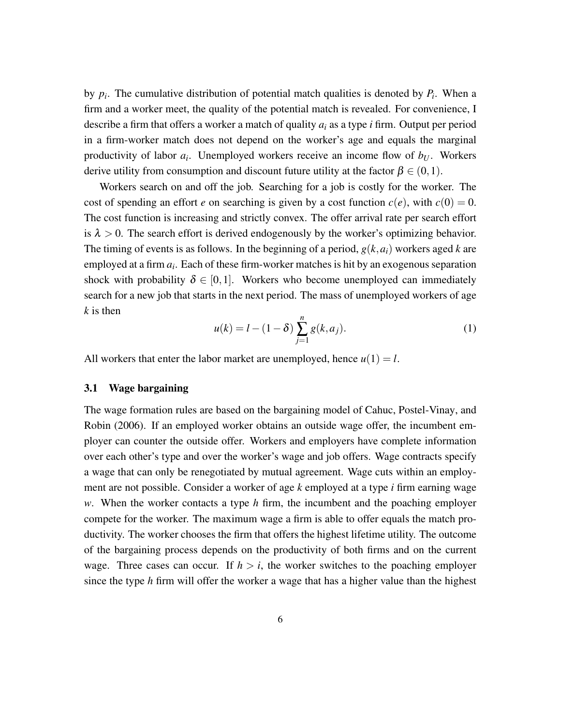by  $p_i$ . The cumulative distribution of potential match qualities is denoted by  $P_i$ . When a firm and a worker meet, the quality of the potential match is revealed. For convenience, I describe a firm that offers a worker a match of quality *a<sup>i</sup>* as a type *i* firm. Output per period in a firm-worker match does not depend on the worker's age and equals the marginal productivity of labor *a<sup>i</sup>* . Unemployed workers receive an income flow of *b<sup>U</sup>* . Workers derive utility from consumption and discount future utility at the factor  $\beta \in (0,1)$ .

Workers search on and off the job. Searching for a job is costly for the worker. The cost of spending an effort *e* on searching is given by a cost function  $c(e)$ , with  $c(0) = 0$ . The cost function is increasing and strictly convex. The offer arrival rate per search effort is  $\lambda > 0$ . The search effort is derived endogenously by the worker's optimizing behavior. The timing of events is as follows. In the beginning of a period, *g*(*k*,*ai*) workers aged *k* are employed at a firm *a<sup>i</sup>* . Each of these firm-worker matches is hit by an exogenous separation shock with probability  $\delta \in [0,1]$ . Workers who become unemployed can immediately search for a new job that starts in the next period. The mass of unemployed workers of age *k* is then

$$
u(k) = l - (1 - \delta) \sum_{j=1}^{n} g(k, a_j).
$$
 (1)

All workers that enter the labor market are unemployed, hence  $u(1) = l$ .

#### 3.1 Wage bargaining

The wage formation rules are based on the bargaining model of Cahuc, Postel-Vinay, and Robin (2006). If an employed worker obtains an outside wage offer, the incumbent employer can counter the outside offer. Workers and employers have complete information over each other's type and over the worker's wage and job offers. Wage contracts specify a wage that can only be renegotiated by mutual agreement. Wage cuts within an employment are not possible. Consider a worker of age *k* employed at a type *i* firm earning wage *w*. When the worker contacts a type *h* firm, the incumbent and the poaching employer compete for the worker. The maximum wage a firm is able to offer equals the match productivity. The worker chooses the firm that offers the highest lifetime utility. The outcome of the bargaining process depends on the productivity of both firms and on the current wage. Three cases can occur. If  $h > i$ , the worker switches to the poaching employer since the type *h* firm will offer the worker a wage that has a higher value than the highest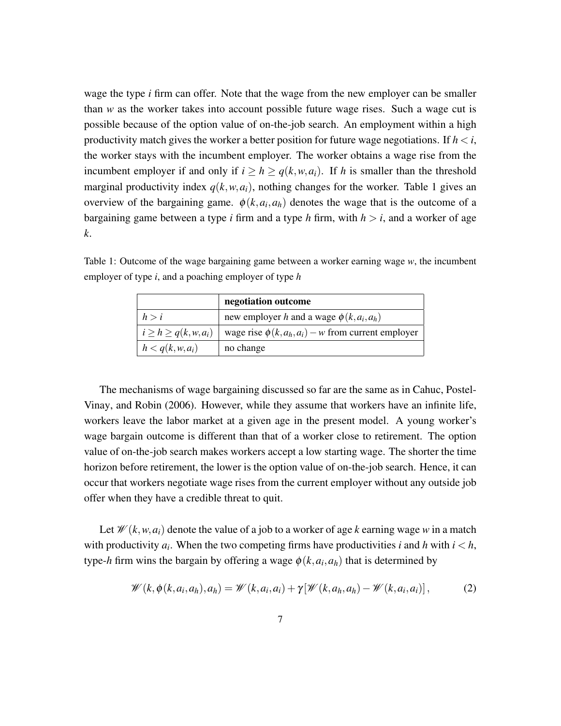wage the type *i* firm can offer. Note that the wage from the new employer can be smaller than *w* as the worker takes into account possible future wage rises. Such a wage cut is possible because of the option value of on-the-job search. An employment within a high productivity match gives the worker a better position for future wage negotiations. If  $h < i$ , the worker stays with the incumbent employer. The worker obtains a wage rise from the incumbent employer if and only if  $i \geq h \geq q(k, w, a_i)$ . If *h* is smaller than the threshold marginal productivity index  $q(k, w, a_i)$ , nothing changes for the worker. Table 1 gives an overview of the bargaining game.  $\phi(k, a_i, a_h)$  denotes the wage that is the outcome of a bargaining game between a type *i* firm and a type *h* firm, with  $h > i$ , and a worker of age *k*.

Table 1: Outcome of the wage bargaining game between a worker earning wage *w*, the incumbent employer of type *i*, and a poaching employer of type *h*

|                              | negotiation outcome                                     |
|------------------------------|---------------------------------------------------------|
| h > i                        | new employer h and a wage $\phi(k, a_i, a_h)$           |
| $i \geq h \geq q(k, w, a_i)$ | wage rise $\phi(k, a_h, a_i) - w$ from current employer |
| $h < q(k, w, a_i)$           | no change                                               |

The mechanisms of wage bargaining discussed so far are the same as in Cahuc, Postel-Vinay, and Robin (2006). However, while they assume that workers have an infinite life, workers leave the labor market at a given age in the present model. A young worker's wage bargain outcome is different than that of a worker close to retirement. The option value of on-the-job search makes workers accept a low starting wage. The shorter the time horizon before retirement, the lower is the option value of on-the-job search. Hence, it can occur that workers negotiate wage rises from the current employer without any outside job offer when they have a credible threat to quit.

Let  $\mathcal{W}(k, w, a_i)$  denote the value of a job to a worker of age *k* earning wage *w* in a match with productivity  $a_i$ . When the two competing firms have productivities *i* and *h* with  $i < h$ , type-*h* firm wins the bargain by offering a wage  $\phi(k, a_i, a_h)$  that is determined by

$$
\mathscr{W}(k,\phi(k,a_i,a_h),a_h) = \mathscr{W}(k,a_i,a_i) + \gamma[\mathscr{W}(k,a_h,a_h) - \mathscr{W}(k,a_i,a_i)],\tag{2}
$$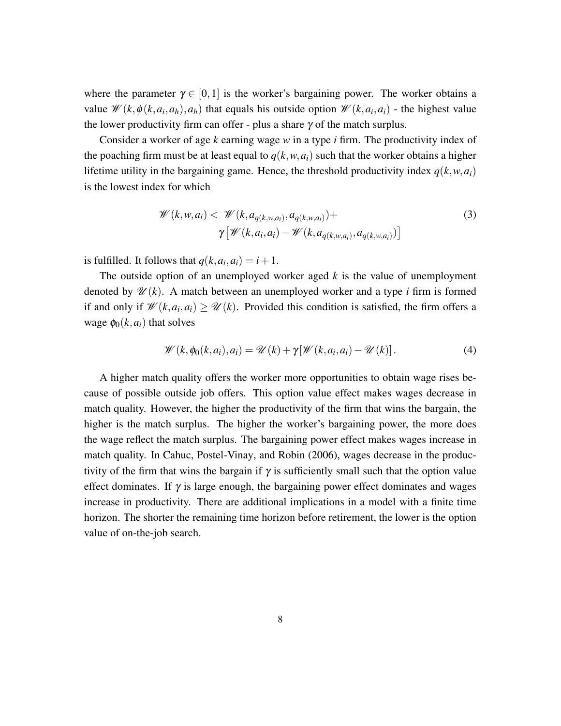where the parameter  $\gamma \in [0,1]$  is the worker's bargaining power. The worker obtains a value  $\mathcal{W}(k, \phi(k, a_i, a_h), a_h)$  that equals his outside option  $\mathcal{W}(k, a_i, a_i)$  - the highest value the lower productivity firm can offer - plus a share  $\gamma$  of the match surplus.

Consider a worker of age *k* earning wage *w* in a type *i* firm. The productivity index of the poaching firm must be at least equal to  $q(k, w, a_i)$  such that the worker obtains a higher lifetime utility in the bargaining game. Hence, the threshold productivity index  $q(k, w, a_i)$ is the lowest index for which

$$
\mathcal{W}(k, w, a_i) < \mathcal{W}(k, a_{q(k, w, a_i)}, a_{q(k, w, a_i)}) + \gamma \left[ \mathcal{W}(k, a_i, a_i) - \mathcal{W}(k, a_{q(k, w, a_i)}, a_{q(k, w, a_i)}) \right] \tag{3}
$$

is fulfilled. It follows that  $q(k, a_i, a_i) = i + 1$ .

The outside option of an unemployed worker aged *k* is the value of unemployment denoted by  $\mathcal{U}(k)$ . A match between an unemployed worker and a type *i* firm is formed if and only if  $\mathcal{W}(k, a_i, a_i) \ge \mathcal{U}(k)$ . Provided this condition is satisfied, the firm offers a wage  $\phi_0(k, a_i)$  that solves

$$
\mathscr{W}(k,\phi_0(k,a_i),a_i) = \mathscr{U}(k) + \gamma[\mathscr{W}(k,a_i,a_i) - \mathscr{U}(k)].
$$
\n(4)

A higher match quality offers the worker more opportunities to obtain wage rises because of possible outside job offers. This option value effect makes wages decrease in match quality. However, the higher the productivity of the firm that wins the bargain, the higher is the match surplus. The higher the worker's bargaining power, the more does the wage reflect the match surplus. The bargaining power effect makes wages increase in match quality. In Cahuc, Postel-Vinay, and Robin (2006), wages decrease in the productivity of the firm that wins the bargain if  $\gamma$  is sufficiently small such that the option value effect dominates. If  $\gamma$  is large enough, the bargaining power effect dominates and wages increase in productivity. There are additional implications in a model with a finite time horizon. The shorter the remaining time horizon before retirement, the lower is the option value of on-the-job search.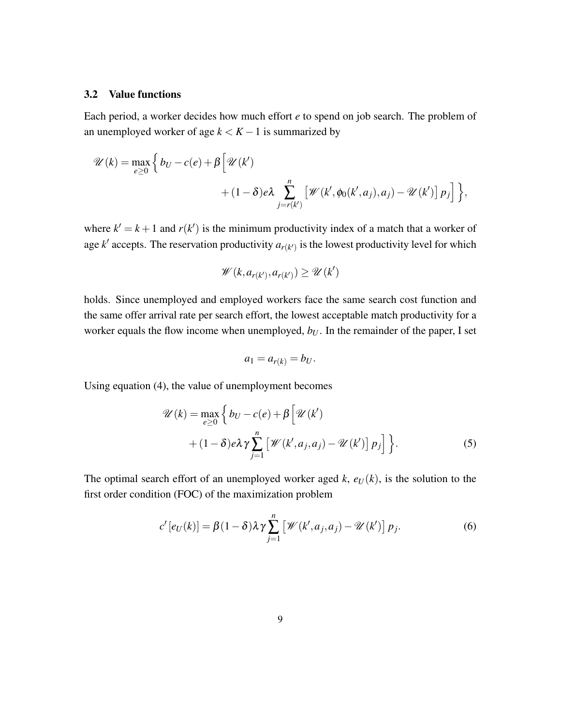#### 3.2 Value functions

Each period, a worker decides how much effort *e* to spend on job search. The problem of an unemployed worker of age  $k < K - 1$  is summarized by

$$
\mathscr{U}(k) = \max_{e \ge 0} \left\{ b_U - c(e) + \beta \left[ \mathscr{U}(k') + (1 - \delta)e\lambda \sum_{j=r(k')}^{n} \left[ \mathscr{W}(k', \phi_0(k', a_j), a_j) - \mathscr{U}(k') \right] p_j \right] \right\},\
$$

where  $k' = k + 1$  and  $r(k')$  is the minimum productivity index of a match that a worker of age  $k'$  accepts. The reservation productivity  $a_{r(k')}$  is the lowest productivity level for which

$$
\mathscr{W}(k, a_{r(k')}, a_{r(k')}) \ge \mathscr{U}(k')
$$

holds. Since unemployed and employed workers face the same search cost function and the same offer arrival rate per search effort, the lowest acceptable match productivity for a worker equals the flow income when unemployed,  $b_U$ . In the remainder of the paper, I set

$$
a_1 = a_{r(k)} = b_U.
$$

Using equation (4), the value of unemployment becomes

$$
\mathscr{U}(k) = \max_{e \ge 0} \left\{ b_U - c(e) + \beta \left[ \mathscr{U}(k') \right. \\ \left. + (1 - \delta)e\lambda \gamma \sum_{j=1}^n \left[ \mathscr{W}(k', a_j, a_j) - \mathscr{U}(k') \right] p_j \right] \right\}.
$$
\n(5)

The optimal search effort of an unemployed worker aged  $k$ ,  $e_U(k)$ , is the solution to the first order condition (FOC) of the maximization problem

$$
c'[e_U(k)] = \beta(1-\delta)\lambda\gamma\sum_{j=1}^n \left[\mathscr{W}(k',a_j,a_j) - \mathscr{U}(k')\right]p_j.
$$
 (6)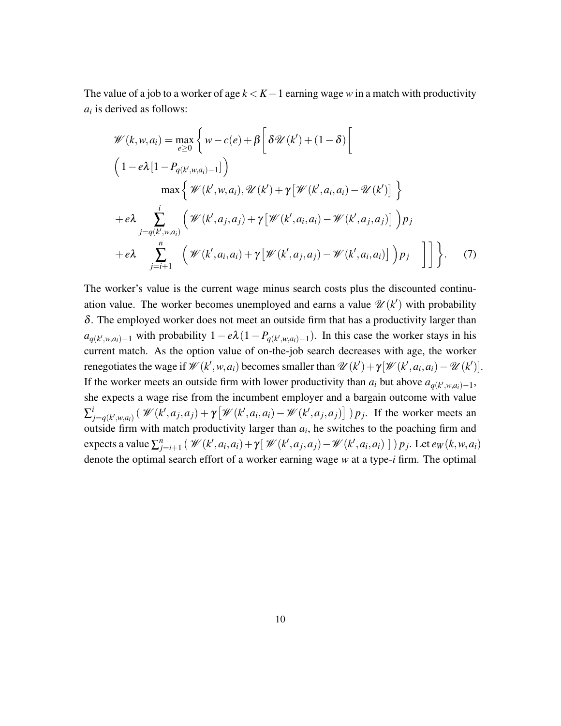The value of a job to a worker of age *k* < *K*−1 earning wage *w* in a match with productivity *ai* is derived as follows:

$$
\mathcal{W}(k, w, a_i) = \max_{e \ge 0} \left\{ w - c(e) + \beta \left[ \delta \mathcal{U}(k') + (1 - \delta) \left[ \left( 1 - e\lambda [1 - P_{q(k', w, a_i) - 1}] \right) \right) \max \left\{ \mathcal{W}(k', w, a_i), \mathcal{U}(k') + \gamma [\mathcal{W}(k', a_i, a_i) - \mathcal{U}(k')] \right\} \right\}
$$
\n
$$
+ e\lambda \sum_{j=q(k', w, a_i)}^{i} \left( \mathcal{W}(k', a_j, a_j) + \gamma [\mathcal{W}(k', a_i, a_i) - \mathcal{W}(k', a_j, a_j)] \right) p_j
$$
\n
$$
+ e\lambda \sum_{j=i+1}^{n} \left( \mathcal{W}(k', a_i, a_i) + \gamma [\mathcal{W}(k', a_j, a_j) - \mathcal{W}(k', a_i, a_i)] \right) p_j
$$
\n(7)

The worker's value is the current wage minus search costs plus the discounted continuation value. The worker becomes unemployed and earns a value  $\mathcal{U}(k')$  with probability  $\delta$ . The employed worker does not meet an outside firm that has a productivity larger than  $a_{q(k',w,a_i)-1}$  with probability  $1 - e\lambda(1 - P_{q(k',w,a_i)-1})$ . In this case the worker stays in his current match. As the option value of on-the-job search decreases with age, the worker renegotiates the wage if  $\mathcal{W}(k', w, a_i)$  becomes smaller than  $\mathcal{U}(k') + \gamma[\mathcal{W}(k', a_i, a_i) - \mathcal{U}(k')]$ . If the worker meets an outside firm with lower productivity than  $a_i$  but above  $a_{q(k',w,a_i)-1}$ , she expects a wage rise from the incumbent employer and a bargain outcome with value  $\Sigma^i_i$  $\mathcal{W}_{j=q(k',w,a_i)}^i(\mathcal{W}(k',a_j,a_j)+\gamma[\mathcal{W}(k',a_i,a_i)-\mathcal{W}(k',a_j,a_j)]\)p_j$ . If the worker meets an outside firm with match productivity larger than  $a_i$ , he switches to the poaching firm and expects a value  $\sum_{j=i+1}^{n} (\mathcal{W}(k', a_i, a_i) + \gamma [\mathcal{W}(k', a_j, a_j) - \mathcal{W}(k', a_i, a_i)] ) p_j$ . Let  $e_W(k, w, a_i)$ denote the optimal search effort of a worker earning wage *w* at a type-*i* firm. The optimal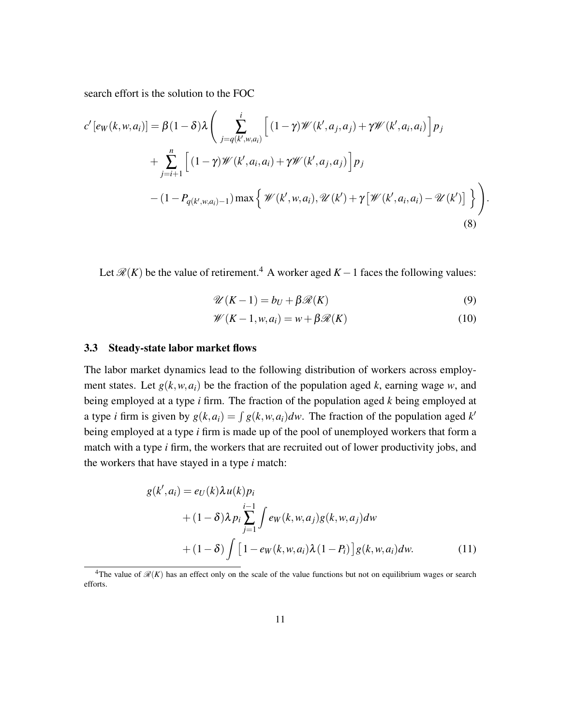search effort is the solution to the FOC

$$
c'[e_W(k, w, a_i)] = \beta(1 - \delta)\lambda \left( \sum_{j=q(k', w, a_i)}^{i} \left[ (1 - \gamma) \mathcal{W}(k', a_j, a_j) + \gamma \mathcal{W}(k', a_i, a_i) \right] p_j + \sum_{j=i+1}^{n} \left[ (1 - \gamma) \mathcal{W}(k', a_i, a_i) + \gamma \mathcal{W}(k', a_j, a_j) \right] p_j - (1 - P_{q(k', w, a_i) - 1}) \max \left\{ \mathcal{W}(k', w, a_i), \mathcal{U}(k') + \gamma \left[ \mathcal{W}(k', a_i, a_i) - \mathcal{U}(k') \right] \right\} \right).
$$
\n(8)

Let  $\mathcal{R}(K)$  be the value of retirement.<sup>4</sup> A worker aged  $K - 1$  faces the following values:

$$
\mathscr{U}(K-1) = b_U + \beta \mathscr{R}(K) \tag{9}
$$

$$
\mathscr{W}(K-1, w, a_i) = w + \beta \mathscr{R}(K) \tag{10}
$$

#### 3.3 Steady-state labor market flows

The labor market dynamics lead to the following distribution of workers across employment states. Let  $g(k, w, a_i)$  be the fraction of the population aged k, earning wage w, and being employed at a type *i* firm. The fraction of the population aged *k* being employed at a type *i* firm is given by  $g(k, a_i) = \int g(k, w, a_i) dw$ . The fraction of the population aged k' being employed at a type *i* firm is made up of the pool of unemployed workers that form a match with a type *i* firm, the workers that are recruited out of lower productivity jobs, and the workers that have stayed in a type *i* match:

$$
g(k', a_i) = e_U(k)\lambda u(k)p_i
$$
  
+  $(1 - \delta)\lambda p_i \sum_{j=1}^{i-1} \int e_W(k, w, a_j)g(k, w, a_j)dw$   
+  $(1 - \delta) \int [1 - e_W(k, w, a_i)\lambda(1 - P_i)]g(k, w, a_i)dw.$  (11)

<sup>&</sup>lt;sup>4</sup>The value of  $\mathcal{R}(K)$  has an effect only on the scale of the value functions but not on equilibrium wages or search efforts.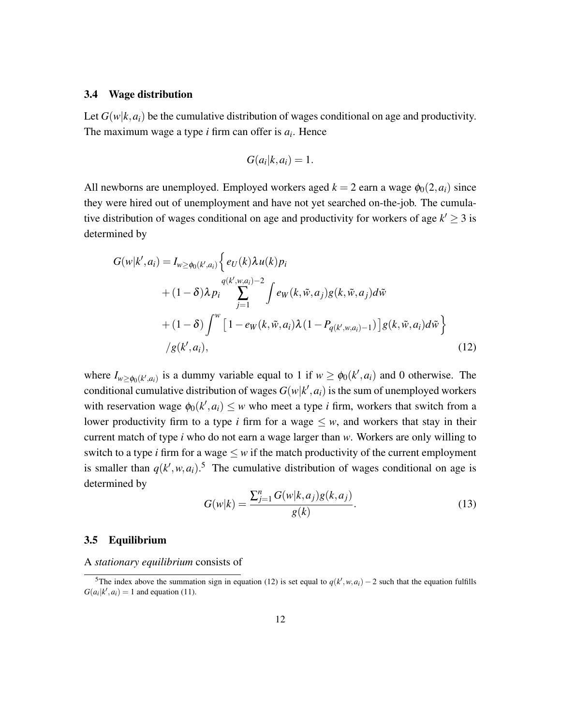#### 3.4 Wage distribution

Let  $G(w|k, a_i)$  be the cumulative distribution of wages conditional on age and productivity. The maximum wage a type *i* firm can offer is *a<sup>i</sup>* . Hence

$$
G(a_i|k, a_i) = 1.
$$

All newborns are unemployed. Employed workers aged  $k = 2$  earn a wage  $\phi_0(2, a_i)$  since they were hired out of unemployment and have not yet searched on-the-job. The cumulative distribution of wages conditional on age and productivity for workers of age  $k' \geq 3$  is determined by

$$
G(w|k', a_i) = I_{w \ge \phi_0(k', a_i)} \left\{ e_U(k) \lambda u(k) p_i + (1 - \delta) \lambda p_i \sum_{j=1}^{q(k', w, a_i) - 2} \int e_W(k, \tilde{w}, a_j) g(k, \tilde{w}, a_j) d\tilde{w} + (1 - \delta) \int^w \left[ 1 - e_W(k, \tilde{w}, a_i) \lambda (1 - P_{q(k', w, a_i) - 1}) \right] g(k, \tilde{w}, a_i) d\tilde{w} \right\}
$$
  
\n
$$
/g(k', a_i), \qquad (12)
$$

where  $I_{w \ge \phi_0(k',a_i)}$  is a dummy variable equal to 1 if  $w \ge \phi_0(k',a_i)$  and 0 otherwise. The conditional cumulative distribution of wages  $G(w|k', a_i)$  is the sum of unemployed workers with reservation wage  $\phi_0(k', a_i) \leq w$  who meet a type *i* firm, workers that switch from a lower productivity firm to a type *i* firm for a wage  $\leq w$ , and workers that stay in their current match of type *i* who do not earn a wage larger than *w*. Workers are only willing to switch to a type *i* firm for a wage  $\leq w$  if the match productivity of the current employment is smaller than  $q(k', w, a_i)$ <sup>5</sup>. The cumulative distribution of wages conditional on age is determined by

$$
G(w|k) = \frac{\sum_{j=1}^{n} G(w|k, a_j)g(k, a_j)}{g(k)}.
$$
\n(13)

### 3.5 Equilibrium

#### A *stationary equilibrium* consists of

<sup>&</sup>lt;sup>5</sup>The index above the summation sign in equation (12) is set equal to  $q(k', w, a_i) - 2$  such that the equation fulfills  $G(a_i|k', a_i) = 1$  and equation (11).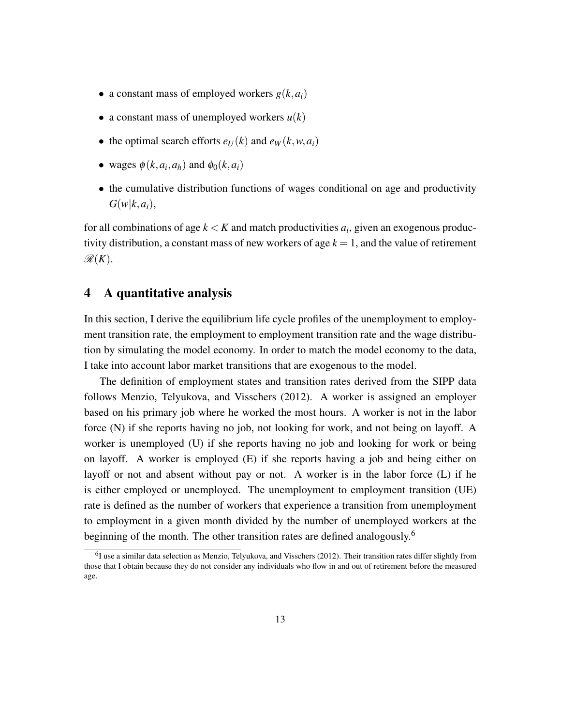- a constant mass of employed workers  $g(k, a_i)$
- a constant mass of unemployed workers  $u(k)$
- the optimal search efforts  $e_U(k)$  and  $e_W(k, w, a_i)$
- wages  $\phi(k, a_i, a_h)$  and  $\phi_0(k, a_i)$
- the cumulative distribution functions of wages conditional on age and productivity  $G(w|k, a_i),$

for all combinations of age  $k < K$  and match productivities  $a_i$ , given an exogenous productivity distribution, a constant mass of new workers of age  $k = 1$ , and the value of retirement  $\mathscr{R}(K)$ .

## 4 A quantitative analysis

In this section, I derive the equilibrium life cycle profiles of the unemployment to employment transition rate, the employment to employment transition rate and the wage distribution by simulating the model economy. In order to match the model economy to the data, I take into account labor market transitions that are exogenous to the model.

The definition of employment states and transition rates derived from the SIPP data follows Menzio, Telyukova, and Visschers (2012). A worker is assigned an employer based on his primary job where he worked the most hours. A worker is not in the labor force (N) if she reports having no job, not looking for work, and not being on layoff. A worker is unemployed (U) if she reports having no job and looking for work or being on layoff. A worker is employed (E) if she reports having a job and being either on layoff or not and absent without pay or not. A worker is in the labor force (L) if he is either employed or unemployed. The unemployment to employment transition (UE) rate is defined as the number of workers that experience a transition from unemployment to employment in a given month divided by the number of unemployed workers at the beginning of the month. The other transition rates are defined analogously.<sup>6</sup>

<sup>&</sup>lt;sup>6</sup>I use a similar data selection as Menzio, Telyukova, and Visschers (2012). Their transition rates differ slightly from those that I obtain because they do not consider any individuals who flow in and out of retirement before the measured age.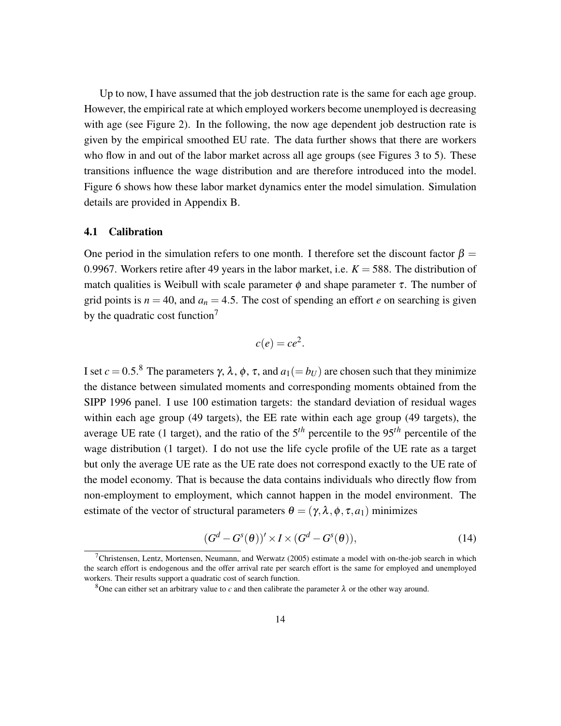Up to now, I have assumed that the job destruction rate is the same for each age group. However, the empirical rate at which employed workers become unemployed is decreasing with age (see Figure 2). In the following, the now age dependent job destruction rate is given by the empirical smoothed EU rate. The data further shows that there are workers who flow in and out of the labor market across all age groups (see Figures 3 to 5). These transitions influence the wage distribution and are therefore introduced into the model. Figure 6 shows how these labor market dynamics enter the model simulation. Simulation details are provided in Appendix B.

#### 4.1 Calibration

One period in the simulation refers to one month. I therefore set the discount factor  $\beta =$ 0.9967. Workers retire after 49 years in the labor market, i.e.  $K = 588$ . The distribution of match qualities is Weibull with scale parameter  $\phi$  and shape parameter  $\tau$ . The number of grid points is  $n = 40$ , and  $a_n = 4.5$ . The cost of spending an effort *e* on searching is given by the quadratic cost function<sup>7</sup>

$$
c(e)=ce^2.
$$

I set  $c = 0.5$ .<sup>8</sup> The parameters  $\gamma$ ,  $\lambda$ ,  $\phi$ ,  $\tau$ , and  $a_1 (= b_U)$  are chosen such that they minimize the distance between simulated moments and corresponding moments obtained from the SIPP 1996 panel. I use 100 estimation targets: the standard deviation of residual wages within each age group (49 targets), the EE rate within each age group (49 targets), the average UE rate (1 target), and the ratio of the 5*th* percentile to the 95*th* percentile of the wage distribution (1 target). I do not use the life cycle profile of the UE rate as a target but only the average UE rate as the UE rate does not correspond exactly to the UE rate of the model economy. That is because the data contains individuals who directly flow from non-employment to employment, which cannot happen in the model environment. The estimate of the vector of structural parameters  $\theta = (\gamma, \lambda, \phi, \tau, a_1)$  minimizes

$$
(Gd - Gs(\theta))' \times I \times (Gd - Gs(\theta)),
$$
\n(14)

<sup>&</sup>lt;sup>7</sup>Christensen, Lentz, Mortensen, Neumann, and Werwatz (2005) estimate a model with on-the-job search in which the search effort is endogenous and the offer arrival rate per search effort is the same for employed and unemployed workers. Their results support a quadratic cost of search function.

<sup>&</sup>lt;sup>8</sup>One can either set an arbitrary value to *c* and then calibrate the parameter  $\lambda$  or the other way around.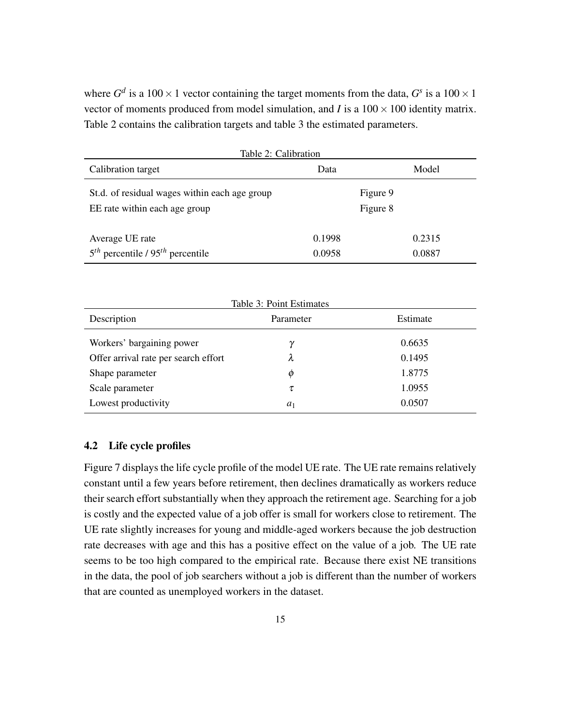where  $G^d$  is a 100  $\times$  1 vector containing the target moments from the data,  $G^s$  is a 100  $\times$  1 vector of moments produced from model simulation, and *I* is a  $100 \times 100$  identity matrix. Table 2 contains the calibration targets and table 3 the estimated parameters.

| Table 2: Calibration                           |        |          |  |  |
|------------------------------------------------|--------|----------|--|--|
| Calibration target                             | Data   | Model    |  |  |
| St.d. of residual wages within each age group  |        | Figure 9 |  |  |
| EE rate within each age group                  |        | Figure 8 |  |  |
| Average UE rate                                | 0.1998 | 0.2315   |  |  |
| $5th$ percentile / 95 <sup>th</sup> percentile | 0.0958 | 0.0887   |  |  |
|                                                |        |          |  |  |

| Table 3: Point Estimates             |           |          |  |  |
|--------------------------------------|-----------|----------|--|--|
| Description                          | Parameter | Estimate |  |  |
| Workers' bargaining power            | ν         | 0.6635   |  |  |
| Offer arrival rate per search effort | λ         | 0.1495   |  |  |
| Shape parameter                      | Φ         | 1.8775   |  |  |
| Scale parameter                      | τ         | 1.0955   |  |  |
| Lowest productivity                  | $a_1$     | 0.0507   |  |  |

### 4.2 Life cycle profiles

Figure 7 displays the life cycle profile of the model UE rate. The UE rate remains relatively constant until a few years before retirement, then declines dramatically as workers reduce their search effort substantially when they approach the retirement age. Searching for a job is costly and the expected value of a job offer is small for workers close to retirement. The UE rate slightly increases for young and middle-aged workers because the job destruction rate decreases with age and this has a positive effect on the value of a job. The UE rate seems to be too high compared to the empirical rate. Because there exist NE transitions in the data, the pool of job searchers without a job is different than the number of workers that are counted as unemployed workers in the dataset.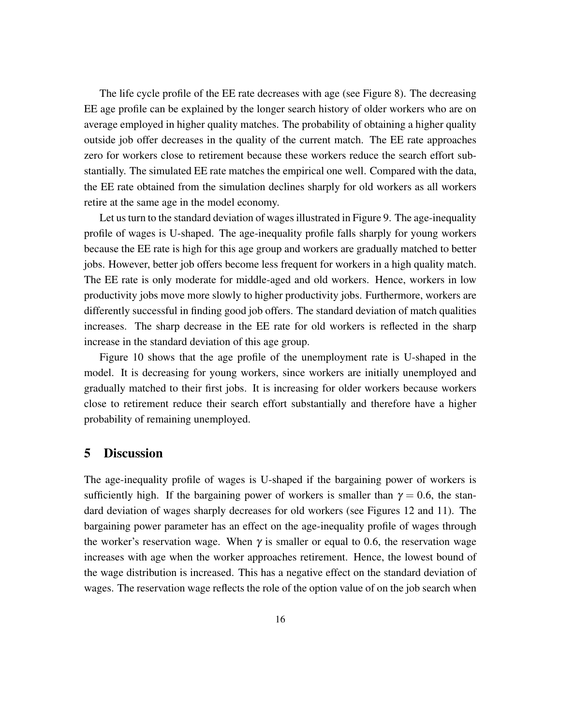The life cycle profile of the EE rate decreases with age (see Figure 8). The decreasing EE age profile can be explained by the longer search history of older workers who are on average employed in higher quality matches. The probability of obtaining a higher quality outside job offer decreases in the quality of the current match. The EE rate approaches zero for workers close to retirement because these workers reduce the search effort substantially. The simulated EE rate matches the empirical one well. Compared with the data, the EE rate obtained from the simulation declines sharply for old workers as all workers retire at the same age in the model economy.

Let us turn to the standard deviation of wages illustrated in Figure 9. The age-inequality profile of wages is U-shaped. The age-inequality profile falls sharply for young workers because the EE rate is high for this age group and workers are gradually matched to better jobs. However, better job offers become less frequent for workers in a high quality match. The EE rate is only moderate for middle-aged and old workers. Hence, workers in low productivity jobs move more slowly to higher productivity jobs. Furthermore, workers are differently successful in finding good job offers. The standard deviation of match qualities increases. The sharp decrease in the EE rate for old workers is reflected in the sharp increase in the standard deviation of this age group.

Figure 10 shows that the age profile of the unemployment rate is U-shaped in the model. It is decreasing for young workers, since workers are initially unemployed and gradually matched to their first jobs. It is increasing for older workers because workers close to retirement reduce their search effort substantially and therefore have a higher probability of remaining unemployed.

## 5 Discussion

The age-inequality profile of wages is U-shaped if the bargaining power of workers is sufficiently high. If the bargaining power of workers is smaller than  $\gamma = 0.6$ , the standard deviation of wages sharply decreases for old workers (see Figures 12 and 11). The bargaining power parameter has an effect on the age-inequality profile of wages through the worker's reservation wage. When  $\gamma$  is smaller or equal to 0.6, the reservation wage increases with age when the worker approaches retirement. Hence, the lowest bound of the wage distribution is increased. This has a negative effect on the standard deviation of wages. The reservation wage reflects the role of the option value of on the job search when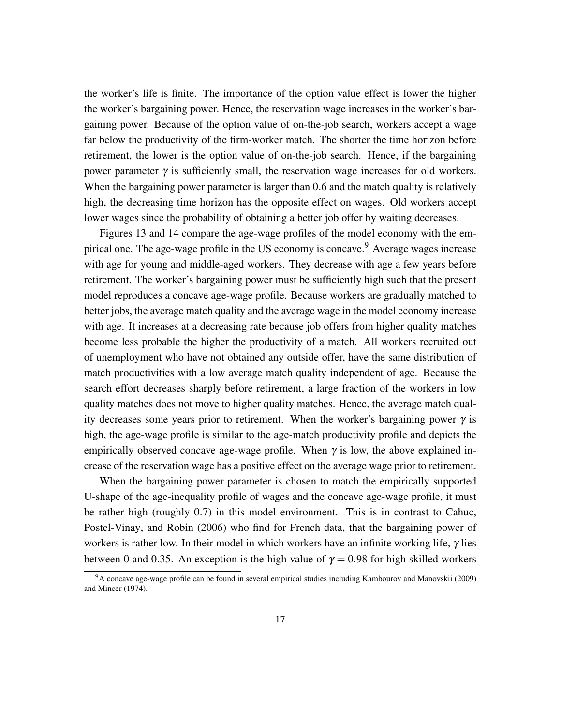the worker's life is finite. The importance of the option value effect is lower the higher the worker's bargaining power. Hence, the reservation wage increases in the worker's bargaining power. Because of the option value of on-the-job search, workers accept a wage far below the productivity of the firm-worker match. The shorter the time horizon before retirement, the lower is the option value of on-the-job search. Hence, if the bargaining power parameter  $γ$  is sufficiently small, the reservation wage increases for old workers. When the bargaining power parameter is larger than 0.6 and the match quality is relatively high, the decreasing time horizon has the opposite effect on wages. Old workers accept lower wages since the probability of obtaining a better job offer by waiting decreases.

Figures 13 and 14 compare the age-wage profiles of the model economy with the empirical one. The age-wage profile in the US economy is concave.<sup>9</sup> Average wages increase with age for young and middle-aged workers. They decrease with age a few years before retirement. The worker's bargaining power must be sufficiently high such that the present model reproduces a concave age-wage profile. Because workers are gradually matched to better jobs, the average match quality and the average wage in the model economy increase with age. It increases at a decreasing rate because job offers from higher quality matches become less probable the higher the productivity of a match. All workers recruited out of unemployment who have not obtained any outside offer, have the same distribution of match productivities with a low average match quality independent of age. Because the search effort decreases sharply before retirement, a large fraction of the workers in low quality matches does not move to higher quality matches. Hence, the average match quality decreases some years prior to retirement. When the worker's bargaining power  $\gamma$  is high, the age-wage profile is similar to the age-match productivity profile and depicts the empirically observed concave age-wage profile. When  $\gamma$  is low, the above explained increase of the reservation wage has a positive effect on the average wage prior to retirement.

When the bargaining power parameter is chosen to match the empirically supported U-shape of the age-inequality profile of wages and the concave age-wage profile, it must be rather high (roughly 0.7) in this model environment. This is in contrast to Cahuc, Postel-Vinay, and Robin (2006) who find for French data, that the bargaining power of workers is rather low. In their model in which workers have an infinite working life,  $\gamma$  lies between 0 and 0.35. An exception is the high value of  $\gamma = 0.98$  for high skilled workers

<sup>9</sup>A concave age-wage profile can be found in several empirical studies including Kambourov and Manovskii (2009) and Mincer (1974).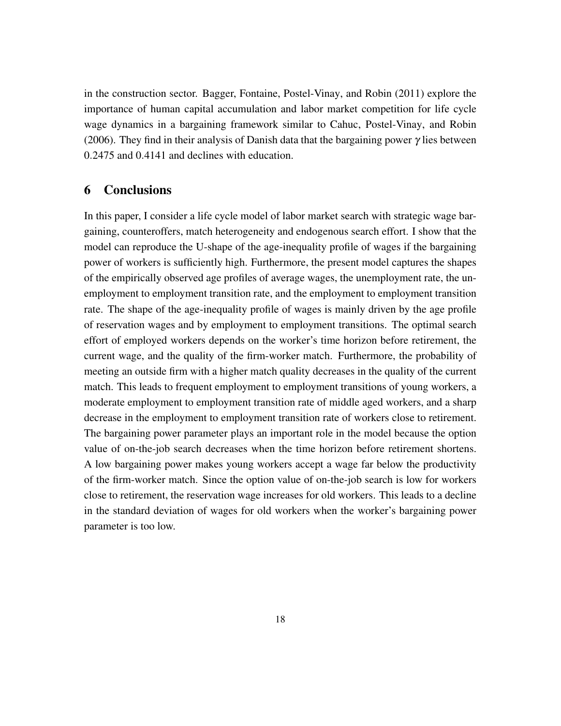in the construction sector. Bagger, Fontaine, Postel-Vinay, and Robin (2011) explore the importance of human capital accumulation and labor market competition for life cycle wage dynamics in a bargaining framework similar to Cahuc, Postel-Vinay, and Robin (2006). They find in their analysis of Danish data that the bargaining power  $\gamma$  lies between 0.2475 and 0.4141 and declines with education.

### 6 Conclusions

In this paper, I consider a life cycle model of labor market search with strategic wage bargaining, counteroffers, match heterogeneity and endogenous search effort. I show that the model can reproduce the U-shape of the age-inequality profile of wages if the bargaining power of workers is sufficiently high. Furthermore, the present model captures the shapes of the empirically observed age profiles of average wages, the unemployment rate, the unemployment to employment transition rate, and the employment to employment transition rate. The shape of the age-inequality profile of wages is mainly driven by the age profile of reservation wages and by employment to employment transitions. The optimal search effort of employed workers depends on the worker's time horizon before retirement, the current wage, and the quality of the firm-worker match. Furthermore, the probability of meeting an outside firm with a higher match quality decreases in the quality of the current match. This leads to frequent employment to employment transitions of young workers, a moderate employment to employment transition rate of middle aged workers, and a sharp decrease in the employment to employment transition rate of workers close to retirement. The bargaining power parameter plays an important role in the model because the option value of on-the-job search decreases when the time horizon before retirement shortens. A low bargaining power makes young workers accept a wage far below the productivity of the firm-worker match. Since the option value of on-the-job search is low for workers close to retirement, the reservation wage increases for old workers. This leads to a decline in the standard deviation of wages for old workers when the worker's bargaining power parameter is too low.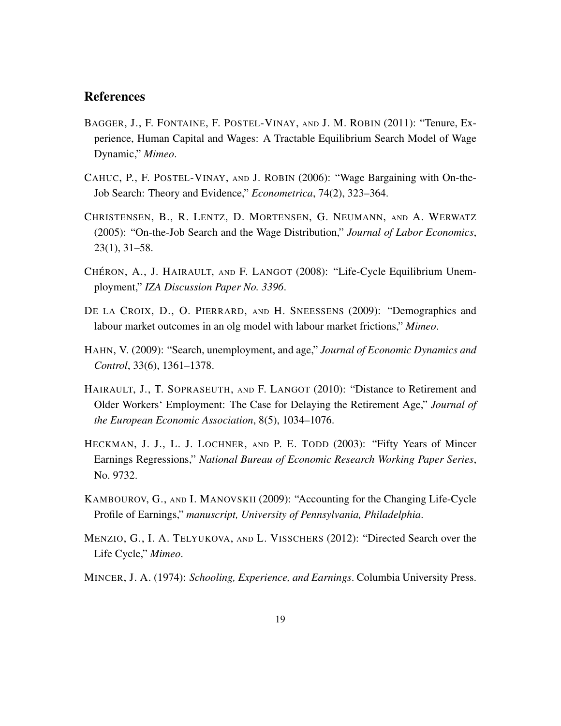## References

- BAGGER, J., F. FONTAINE, F. POSTEL-VINAY, AND J. M. ROBIN (2011): "Tenure, Experience, Human Capital and Wages: A Tractable Equilibrium Search Model of Wage Dynamic," *Mimeo*.
- CAHUC, P., F. POSTEL-VINAY, AND J. ROBIN (2006): "Wage Bargaining with On-the-Job Search: Theory and Evidence," *Econometrica*, 74(2), 323–364.
- CHRISTENSEN, B., R. LENTZ, D. MORTENSEN, G. NEUMANN, AND A. WERWATZ (2005): "On-the-Job Search and the Wage Distribution," *Journal of Labor Economics*, 23(1), 31–58.
- CHÉRON, A., J. HAIRAULT, AND F. LANGOT (2008): "Life-Cycle Equilibrium Unemployment," *IZA Discussion Paper No. 3396*.
- DE LA CROIX, D., O. PIERRARD, AND H. SNEESSENS (2009): "Demographics and labour market outcomes in an olg model with labour market frictions," *Mimeo*.
- HAHN, V. (2009): "Search, unemployment, and age," *Journal of Economic Dynamics and Control*, 33(6), 1361–1378.
- HAIRAULT, J., T. SOPRASEUTH, AND F. LANGOT (2010): "Distance to Retirement and Older Workers' Employment: The Case for Delaying the Retirement Age," *Journal of the European Economic Association*, 8(5), 1034–1076.
- HECKMAN, J. J., L. J. LOCHNER, AND P. E. TODD (2003): "Fifty Years of Mincer Earnings Regressions," *National Bureau of Economic Research Working Paper Series*, No. 9732.
- KAMBOUROV, G., AND I. MANOVSKII (2009): "Accounting for the Changing Life-Cycle Profile of Earnings," *manuscript, University of Pennsylvania, Philadelphia*.
- MENZIO, G., I. A. TELYUKOVA, AND L. VISSCHERS (2012): "Directed Search over the Life Cycle," *Mimeo*.
- MINCER, J. A. (1974): *Schooling, Experience, and Earnings*. Columbia University Press.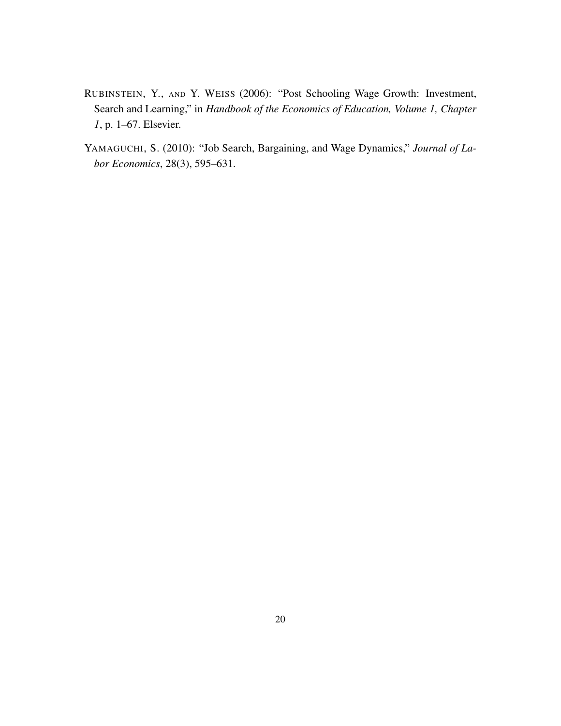- RUBINSTEIN, Y., AND Y. WEISS (2006): "Post Schooling Wage Growth: Investment, Search and Learning," in *Handbook of the Economics of Education, Volume 1, Chapter 1*, p. 1–67. Elsevier.
- YAMAGUCHI, S. (2010): "Job Search, Bargaining, and Wage Dynamics," *Journal of Labor Economics*, 28(3), 595–631.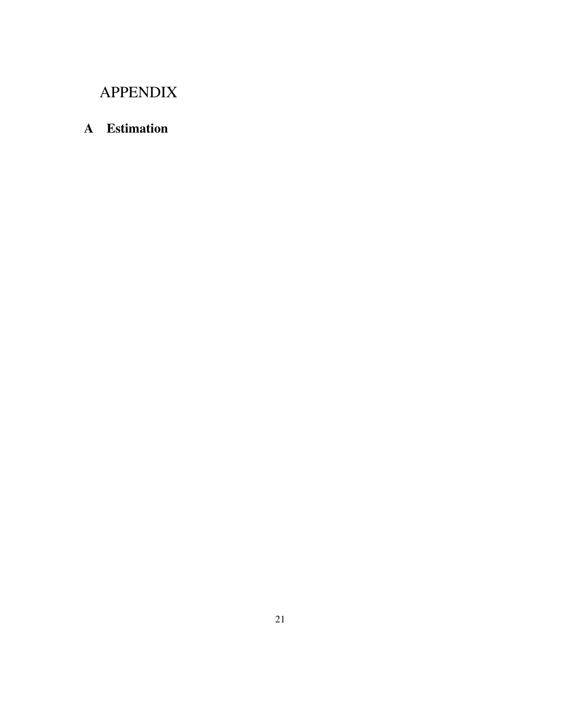## APPENDIX

## A Estimation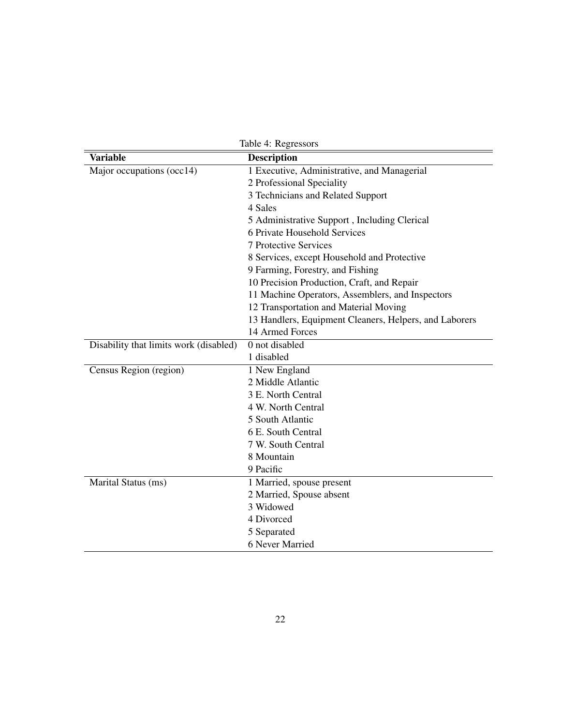| Table 4: Regressors                    |                                                        |  |
|----------------------------------------|--------------------------------------------------------|--|
| <b>Variable</b>                        | <b>Description</b>                                     |  |
| Major occupations (occ14)              | 1 Executive, Administrative, and Managerial            |  |
|                                        | 2 Professional Speciality                              |  |
|                                        | 3 Technicians and Related Support                      |  |
|                                        | 4 Sales                                                |  |
|                                        | 5 Administrative Support, Including Clerical           |  |
|                                        | 6 Private Household Services                           |  |
|                                        | <b>7 Protective Services</b>                           |  |
|                                        | 8 Services, except Household and Protective            |  |
|                                        | 9 Farming, Forestry, and Fishing                       |  |
|                                        | 10 Precision Production, Craft, and Repair             |  |
|                                        | 11 Machine Operators, Assemblers, and Inspectors       |  |
|                                        | 12 Transportation and Material Moving                  |  |
|                                        | 13 Handlers, Equipment Cleaners, Helpers, and Laborers |  |
|                                        | 14 Armed Forces                                        |  |
| Disability that limits work (disabled) | 0 not disabled                                         |  |
|                                        | 1 disabled                                             |  |
| Census Region (region)                 | 1 New England                                          |  |
|                                        | 2 Middle Atlantic                                      |  |
|                                        | 3 E. North Central                                     |  |
|                                        | 4 W. North Central                                     |  |
|                                        | 5 South Atlantic                                       |  |
|                                        | 6 E. South Central                                     |  |
|                                        | 7 W. South Central                                     |  |
|                                        | 8 Mountain                                             |  |
|                                        | 9 Pacific                                              |  |
| Marital Status (ms)                    | 1 Married, spouse present                              |  |
|                                        | 2 Married, Spouse absent                               |  |
|                                        | 3 Widowed                                              |  |
|                                        | 4 Divorced                                             |  |
|                                        | 5 Separated                                            |  |
|                                        | 6 Never Married                                        |  |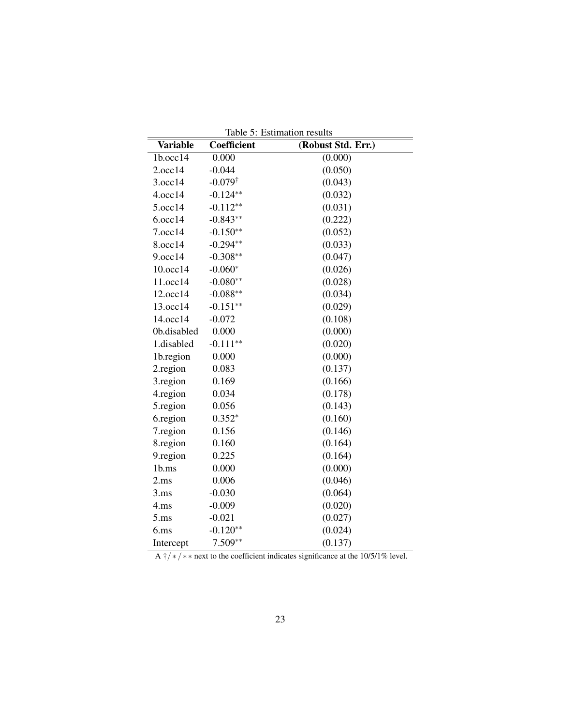| <b>Variable</b> | Coefficient        | (Robust Std. Err.) |
|-----------------|--------------------|--------------------|
| 1b.occ14        | 0.000              | (0.000)            |
| 2.0cc14         | $-0.044$           | (0.050)            |
| 3.occ14         | $-0.079^{\dagger}$ | (0.043)            |
| 4.occ14         | $-0.124**$         | (0.032)            |
| 5.occ14         | $-0.112**$         | (0.031)            |
| 6.0cc14         | $-0.843**$         | (0.222)            |
| 7.occ14         | $-0.150**$         | (0.052)            |
| 8.occ14         | $-0.294**$         | (0.033)            |
| 9.occ14         | $-0.308**$         | (0.047)            |
| 10.0cc14        | $-0.060*$          | (0.026)            |
| 11.occ14        | $-0.080**$         | (0.028)            |
| 12.occ14        | $-0.088**$         | (0.034)            |
| 13.occ14        | $-0.151**$         | (0.029)            |
| 14.occ14        | $-0.072$           | (0.108)            |
| 0b.disabled     | 0.000              | (0.000)            |
| 1.disabled      | $-0.111**$         | (0.020)            |
| 1b.region       | 0.000              | (0.000)            |
| 2.region        | 0.083              | (0.137)            |
| 3.region        | 0.169              | (0.166)            |
| 4.region        | 0.034              | (0.178)            |
| 5.region        | 0.056              | (0.143)            |
| 6.region        | $0.352*$           | (0.160)            |
| 7.region        | 0.156              | (0.146)            |
| 8.region        | 0.160              | (0.164)            |
| 9.region        | 0.225              | (0.164)            |
| 1b.ms           | 0.000              | (0.000)            |
| 2.ms            | 0.006              | (0.046)            |
| 3.ms            | $-0.030$           | (0.064)            |
| 4.ms            | $-0.009$           | (0.020)            |
| 5.ms            | $-0.021$           | (0.027)            |
| $6.$ ms         | $-0.120**$         | (0.024)            |
| Intercept       | $7.509**$          | (0.137)            |

Table 5: Estimation results

A  $\frac{+}{+}$  \* \* next to the coefficient indicates significance at the 10/5/1% level.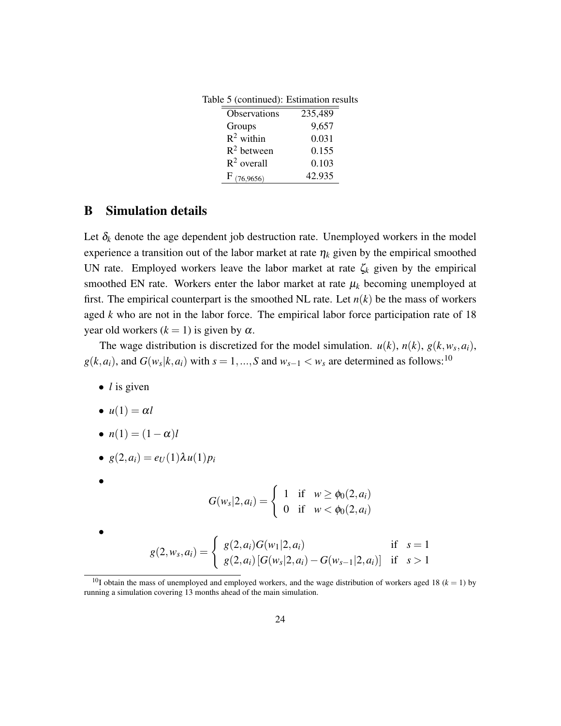| Table 5 (continued): Estimation results |         |
|-----------------------------------------|---------|
| Observations                            | 235,489 |
| Groups                                  | 9,657   |
| $R^2$ within                            | 0.031   |
| $R^2$ between                           | 0.155   |
| $R^2$ overall                           | 0.103   |
| $F_{(76,9656)}$                         | 42.935  |

## B Simulation details

Let  $\delta_k$  denote the age dependent job destruction rate. Unemployed workers in the model experience a transition out of the labor market at rate  $\eta_k$  given by the empirical smoothed UN rate. Employed workers leave the labor market at rate  $\zeta_k$  given by the empirical smoothed EN rate. Workers enter the labor market at rate  $\mu_k$  becoming unemployed at first. The empirical counterpart is the smoothed NL rate. Let  $n(k)$  be the mass of workers aged *k* who are not in the labor force. The empirical labor force participation rate of 18 year old workers  $(k = 1)$  is given by  $\alpha$ .

The wage distribution is discretized for the model simulation.  $u(k)$ ,  $n(k)$ ,  $g(k, w_s, a_i)$ ,  $g(k, a_i)$ , and  $G(w_s|k, a_i)$  with  $s = 1, ..., S$  and  $w_{s-1} < w_s$  are determined as follows:<sup>10</sup>

- *l* is given
- $u(1) = \alpha l$
- $n(1) = (1 \alpha)l$
- $g(2, a_i) = e_U(1)\lambda u(1)p_i$

$$
G(w_s|2, a_i) = \begin{cases} 1 & \text{if } w \ge \phi_0(2, a_i) \\ 0 & \text{if } w < \phi_0(2, a_i) \end{cases}
$$

$$
\bullet
$$

•

$$
g(2, w_s, a_i) = \begin{cases} g(2, a_i)G(w_1|2, a_i) & \text{if } s = 1\\ g(2, a_i) [G(w_s|2, a_i) - G(w_{s-1}|2, a_i)] & \text{if } s > 1 \end{cases}
$$

<sup>&</sup>lt;sup>10</sup>I obtain the mass of unemployed and employed workers, and the wage distribution of workers aged 18 ( $k = 1$ ) by running a simulation covering 13 months ahead of the main simulation.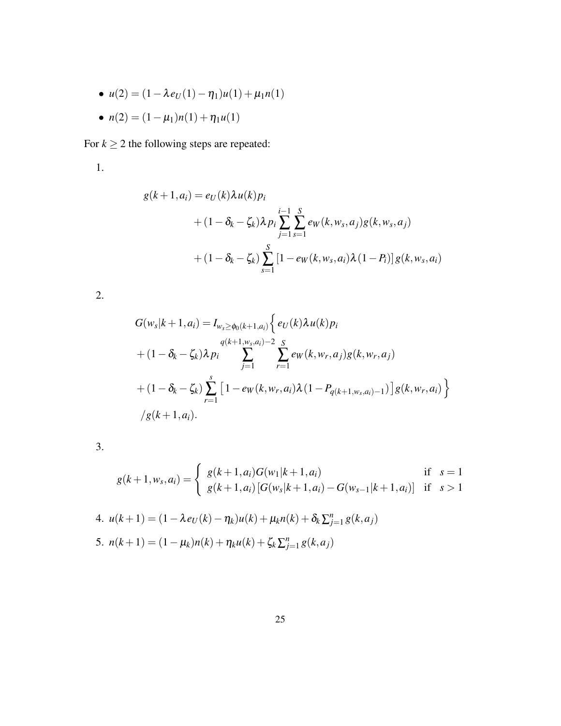- $\bullet u(2) = (1 \lambda e_U(1) \eta_1)u(1) + \mu_1 n(1)$
- $n(2) = (1 \mu_1)n(1) + \eta_1u(1)$

For  $k \geq 2$  the following steps are repeated:

1.

$$
g(k+1, a_i) = e_U(k)\lambda u(k)p_i
$$
  
+  $(1 - \delta_k - \zeta_k)\lambda p_i \sum_{j=1}^{i-1} \sum_{s=1}^S e_W(k, w_s, a_j)g(k, w_s, a_j)$   
+  $(1 - \delta_k - \zeta_k) \sum_{s=1}^S [1 - e_W(k, w_s, a_i)\lambda(1 - P_i)]g(k, w_s, a_i)$ 

2.

$$
G(w_s|k+1, a_i) = I_{w_s \ge \phi_0(k+1, a_i)} \Big\{ e_U(k) \lambda u(k) p_i
$$
  
+  $(1 - \delta_k - \zeta_k) \lambda p_i \sum_{j=1}^{q(k+1, w_s, a_i)-2} \sum_{r=1}^{S} e_W(k, w_r, a_j) g(k, w_r, a_j)$   
+  $(1 - \delta_k - \zeta_k) \sum_{r=1}^{s} [1 - e_W(k, w_r, a_i) \lambda (1 - P_{q(k+1, w_s, a_i)-1})] g(k, w_r, a_i) \Big\}$   
 $\Big\}$   
 $\Big\{ g(k+1, a_i).$ 

3.

$$
g(k+1, w_s, a_i) = \begin{cases} g(k+1, a_i)G(w_1|k+1, a_i) & \text{if } s = 1\\ g(k+1, a_i) \left[ G(w_s|k+1, a_i) - G(w_{s-1}|k+1, a_i) \right] & \text{if } s > 1 \end{cases}
$$

4. 
$$
u(k+1) = (1 - \lambda e_U(k) - \eta_k)u(k) + \mu_k n(k) + \delta_k \sum_{j=1}^n g(k, a_j)
$$
  
5.  $n(k+1) = (1 - \mu_k)n(k) + \eta_k u(k) + \zeta_k \sum_{j=1}^n g(k, a_j)$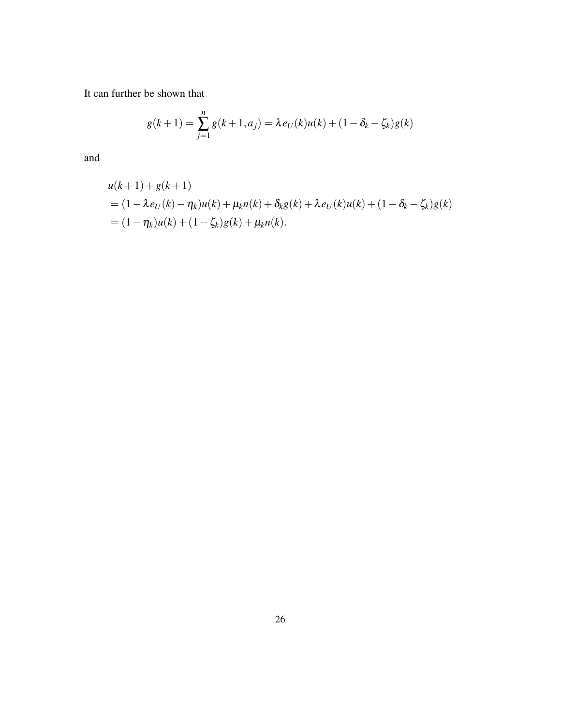It can further be shown that

$$
g(k+1) = \sum_{j=1}^{n} g(k+1, a_j) = \lambda e_U(k)u(k) + (1 - \delta_k - \zeta_k)g(k)
$$

and

$$
u(k+1) + g(k+1)
$$
  
=  $(1 - \lambda e_U(k) - \eta_k)u(k) + \mu_k n(k) + \delta_k g(k) + \lambda e_U(k)u(k) + (1 - \delta_k - \zeta_k)g(k)$   
=  $(1 - \eta_k)u(k) + (1 - \zeta_k)g(k) + \mu_k n(k).$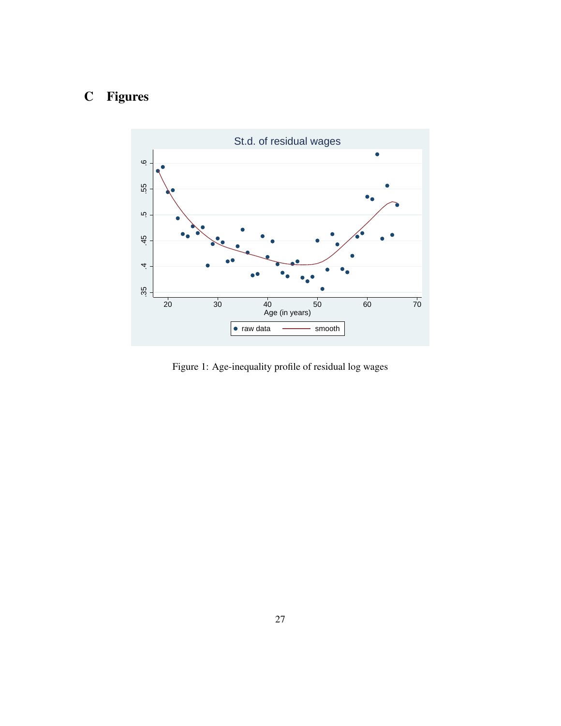# C Figures



Figure 1: Age-inequality profile of residual log wages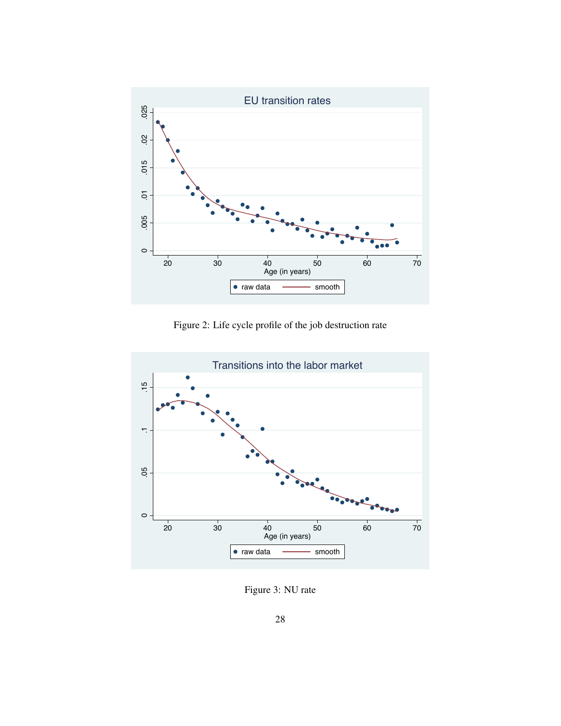

Figure 2: Life cycle profile of the job destruction rate



Figure 3: NU rate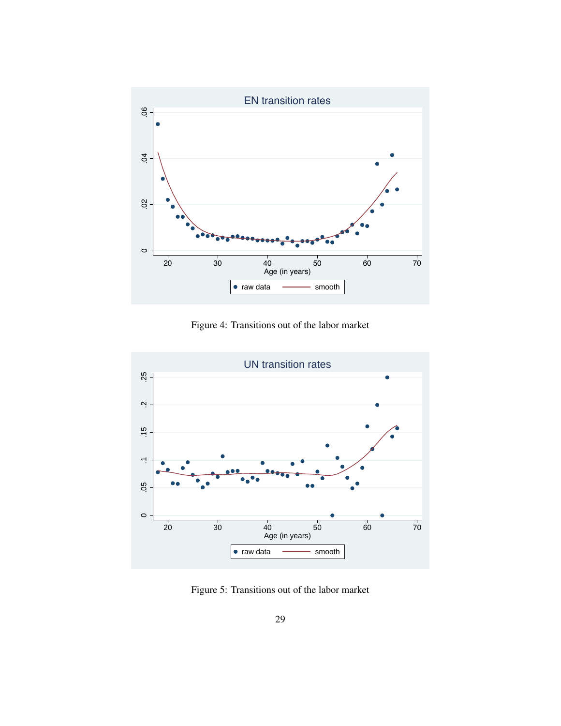

Figure 4: Transitions out of the labor market



Figure 5: Transitions out of the labor market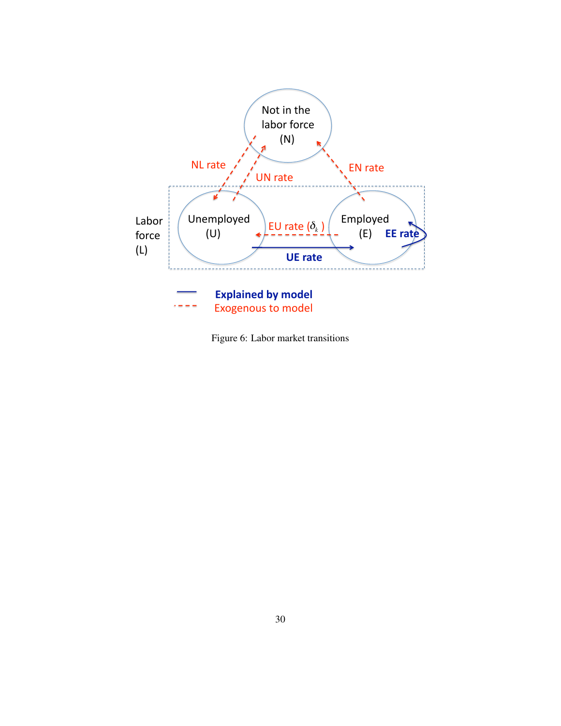

Figure 6: Labor market transitions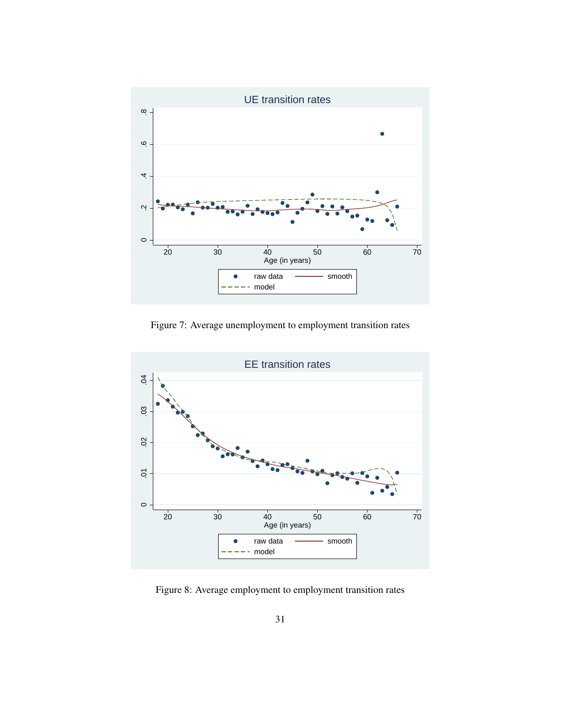

Figure 7: Average unemployment to employment transition rates



Figure 8: Average employment to employment transition rates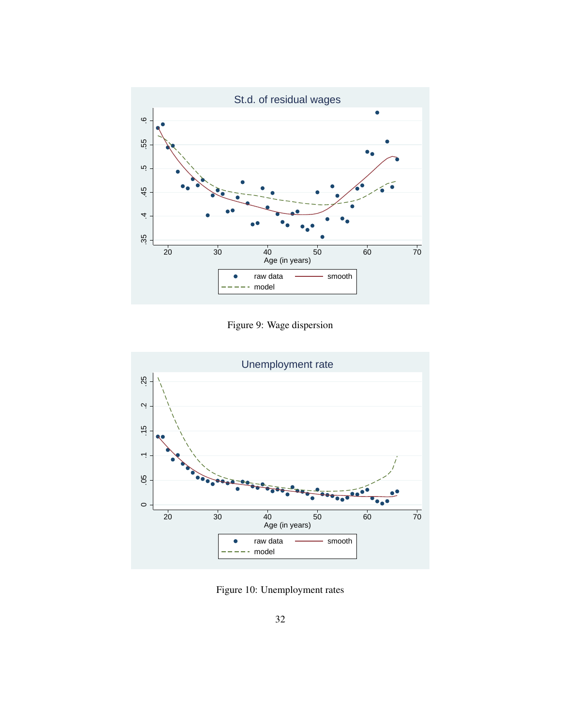

Figure 9: Wage dispersion



Figure 10: Unemployment rates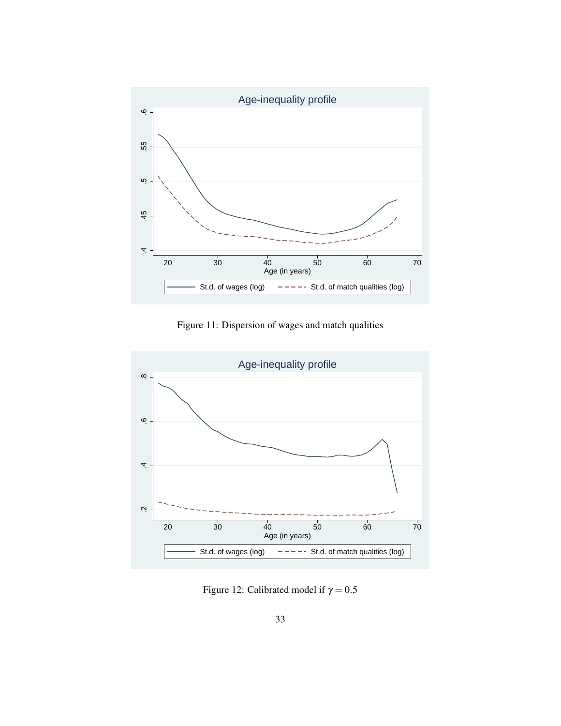

Figure 11: Dispersion of wages and match qualities



Figure 12: Calibrated model if  $\gamma = 0.5$